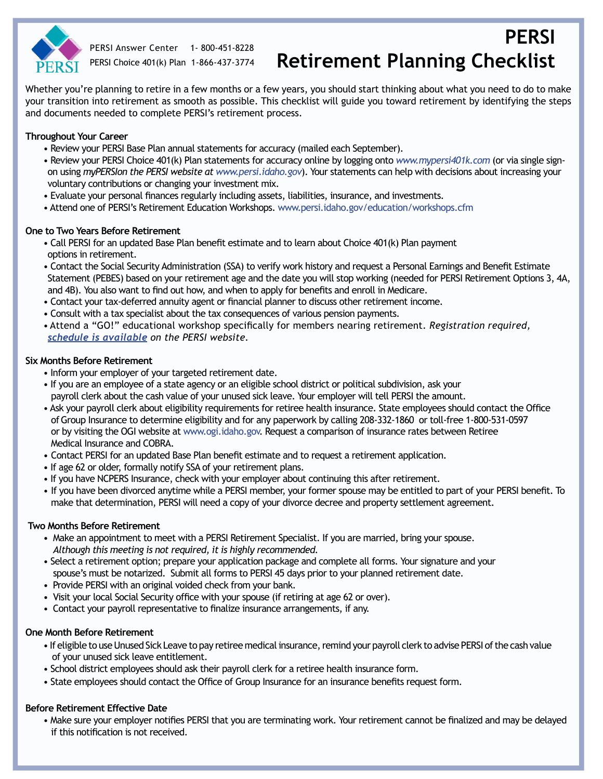

PERSI Answer Center 1- 800-451-8228 PERSI Choice 401(k) Plan 1-866-437-3774

# **PERSI Retirement Planning Checklist**

Whether you're planning to retire in a few months or a few years, you should start thinking about what you need to do to make your transition into retirement as smooth as possible. This checklist will guide you toward retirement by identifying the steps and documents needed to complete PERSI's retirement process.

## **Throughout Your Career**

- Review your PERSI Base Plan annual statements for accuracy (mailed each September).
- Review your PERSI Choice 401(k) Plan statements for accuracy online by logging onto *[www.mypersi401k.com](https://mypersi401k.gwrs.com/login.do)* (or via single signon using *myPERSIon the PERSI website at www.persi.idaho.gov*). Your statements can help with decisions about increasing your voluntary contributions or changing your investment mix.
- Evaluate your personal finances regularly including assets, liabilities, insurance, and investments.
- Attend one of PERSI's Retirement Education Workshops. www.persi.idaho.gov/education/workshops.cfm

#### **One to Two Years Before Retirement**

- Call PERSI for an updated Base Plan benefit estimate and to learn about Choice 401(k) Plan payment options in retirement.
- Contact the Social Security Administration (SSA) to verify work history and request a Personal Earnings and Benefit Estimate Statement (PEBES) based on your retirement age and the date you will stop working (needed for PERSI Retirement Options 3, 4A, and 4B). You also want to find out how, and when to apply for benefits and enroll in Medicare.
- Contact your tax-deferred annuity agent or financial planner to discuss other retirement income.
- Consult with a tax specialist about the tax consequences of various pension payments.
- Attend a "GO!" educational workshop specifically for members nearing retirement. *Registration required, [schedule is available](http://www.persi.idaho.gov/education/workshops.cfm) on the PERSI website.*

## **Six Months Before Retirement**

- Inform your employer of your targeted retirement date.
- If you are an employee of a state agency or an eligible school district or political subdivision, ask your payroll clerk about the cash value of your unused sick leave. Your employer will tell PERSI the amount.
- Ask your payroll clerk about eligibility requirements for retiree health insurance. State employees should contact the Office of Group Insurance to determine eligibility and for any paperwork by calling 208-332-1860 or toll-free 1-800-531-0597 or by visiting the OGI website at www.ogi.idaho.gov. Request a comparison of insurance rates between Retiree Medical Insurance and COBRA.
- • Contact PERSI for an updated Base Plan benefit estimate and to request a retirement application.
- If age 62 or older, formally notify SSA of your retirement plans.
- If you have NCPERS Insurance, check with your employer about continuing this after retirement.
- If you have been divorced anytime while a PERSI member, your former spouse may be entitled to part of your PERSI benefit. To make that determination, PERSI will need a copy of your divorce decree and property settlement agreement.

#### **Two Months Before Retirement**

- Make an appointment to meet with a PERSI Retirement Specialist. If you are married, bring your spouse. *Although this meeting is not required, it is highly recommended.*
- Select a retirement option; prepare your application package and complete all forms. Your signature and your spouse's must be notarized. Submit all forms to PERSI 45 days prior to your planned retirement date.
- Provide PERSI with an original voided check from your bank.
- • Visit your local Social Security office with your spouse (if retiring at age 62 or over).
- Contact your payroll representative to finalize insurance arrangements, if any.

#### **One Month Before Retirement**

- If eligible to use Unused Sick Leave to pay retiree medical insurance, remind your payroll clerk to advise PERSI of the cash value of your unused sick leave entitlement.
- School district employees should ask their payroll clerk for a retiree health insurance form.
- State employees should contact the Office of Group Insurance for an insurance benefits request form.

#### **Before Retirement Effective Date**

 • Make sure your employer notifies PERSI that you are terminating work. Your retirement cannot be finalized and may be delayed if this notification is not received.